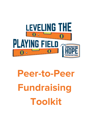

# **Peer-to-Peer Fundraising Toolkit**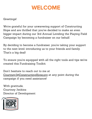### **WELCOME**

#### Greetings!

We're grateful for your unwavering support of Constructing Hope and are thrilled that you've decided to make an even bigger impact during our 3rd Annual Leveling the Playing Field Campaign by becoming a fundraiser on our behalf.

By deciding to become a fundraiser, you're taking your support to the next level: introducing us to your friends and family. That's a big deal!

To ensure you're equipped with all the right tools and tips we've created this Fundraising Toolkit.

Don't hesitate to reach out to me at [CourtneyJ@ConstructingHope.org](mailto:CourtneyJ@ConstructingHope.org) at any point during the campaign if you need assistance!

With gratitude, Courtney Jenkins Director of Development

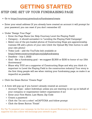### **GETTING STARTED**

### STEP ONE: SET UP YOUR FUNDRAISING PAGE

- Go to <https://courtneyj.givecloud.co/fundraisers/create>
- Enter your email address (if you already have created an account it will prompt for your password, you can reset if you don't remember it!)
- Under "Design Your Page"
	- Enter the Page Name (ex. Help Courtney Level the Playing Field)
	- Category it should autoselect to "Leveling the Playing Field Campaign"
	- o Select one of the pre-loaded photos of Constructing Hope pre-apprenticeship trainees OR add a photo of your own (click the Upload My Own button to add your own photo)
	- Video Link add the YouTube link available at <https://www.constructinghope.org/p2pfundraising>
	- $\circ$  Deadline July 1, 2022
	- Goal Set a fundraising goal we suggest \$1,500 or \$150 in honor of our 15th Anniversary!
	- Share why YOU are a supporter of Constructing Hope and why you think it's important to Level the Playing Field in the construction industry! Your story is the first thing people will see when visiting your fundraising page, so make it as impactful as possible.
- Click the Green Button "Create Page"
- A form will pop-up if you haven't already created an account:
	- Account Type select Individual, unless you are wanting to set up on behalf of your company or organization (select organization if so)
	- Enter your First Name, Last Name, Zip Code
	- Create a password
	- Click the "I'm not a robot" reCAPTCHA and follow prompt
	- Click the Green Button "Finish"

Pro Tip: To jumpstart your campaign, be the first one to donate! Showcasing that you're not only a supporter but also a donor will encourage your network to give.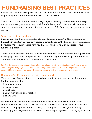### **FUNDRAISING BEST PRACTICES**

Fundraising leverages the power of your social network to meet fundraising goals and help move your favorite nonprofit closer to their mission.

The success of your fundraising campaign depends heavily on the amount and ways that you're sharing your campaign with friends, family and colleagues. Social media, email, text messaging and word of mouth are some of the best ways to get your request noticed.

#### What's the best way to share?

Sharing your fundraising campaign via your Facebook page, Twitter, Instagram or LinkedIn, in addition to your own personal email list, is at the heart of every campaign. Leveraging these networks is how you'll meet - and potential even exceed - your fundraising goals.

Choose a few contacts that you know will respond well to a more intimate request: text messaging. Don't inflict the poison that is group texting on these people; take time to send individual (copied and pasted) texts to each one.

Pro Tip: Get personal and select a handful of your closest family and friends to reach out to as you announce your campaign. Close friends and family are more likely to donate, so getting them on board will let the rest of your network see that people are already supporting the cause.

#### How often should I communicate with my network?

There are five absolute times you should communicate with your network during a fundraising campaign:

- Campaign launch 1.
- Midway goal 2.
- 3. Final push
- Campaign end of goal reached 4.
- 5.Thank you

We recommend maintaining momentum between each of these main milestone communications with one to two social posts per week and one weekly email to help keep your campaign top of mind. During the final push phase of your campaign, increasing your frequency to a few social posts a day has proven to be highly effective!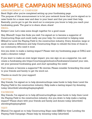#### ANNOUNCEMENT #1: CAMPAIGN

Send: Right after you've completed setting up your fundraising page.

The purpose of this announcement is to let your network know that you've signed on to raise funds for a cause near and dear to your heart and that you need their help. Basically, you've got to get the word out to everyone you know to help you reach your fundraising goals. The goal is to share, share, share!

#### EMAIL:

Subject Line: Let's raise some dough together for a good cause

Hey, [Name]! I hope this finds you well. I've signed on to become a supporter of Constructing Hope and could really use your help. I'm committed to helping raise [\$Goal] to Level the Playing Field in the construction industry. Every donation, large or small, makes a difference and help Constructing Hope to rebuild the lives of those in our community who need it most.

Are you down to make a lasting impact? Please visit my fundraising page at [URL] and make a donation today!

If you want to make an even larger impact, you can sign on as a supporter, too, and create a fundraising site https://courtneyj.givecloud.co/fundraisers/createof your own, set your personal fundraising goal, and start spreading the news!

Can't donate or become a supporter? No worries. Please consider forwarding this email to your friends and family to get the word out.

Thanks so much for your support!

#### TWITTER:

Hey friends, I've signed on to help @constructhope raise funds to help them Level the Playing Field in the construction industry. Help make a lasting impact by donating today: [shortlink] #levelingtheplayingfield

#### FACEBOOK:

Hey friends, I've signed on to help @ConstructingHope raise funds to help them Level the Playing Field in the construction industry. Are you down to help make a lasting impact? Please share with your friends and family and donate today: [shortlink] #levelingtheplayingfield

#### TEXT:

[Name], I've signed on to help Constructing Hope raise [\$\$\$] for their Leveling the Playing Field Campaign. Please help by donating today: [shortlink]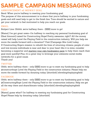#### ANNOUNCEMENT #2: MIDWAY GOAL

Send: When you're halfway to meeting your fundraising goal.

The purpose of this announcement is to share that you're halfway to your fundraising goals and still need help to get to the finish line. Tone should be excited in nature and get your network to feel motivated to help you reach our goals.

#### EMAIL:

Subject Line: Ohhhh, we're halfway there - [\$\$\$] more to go!

[Name], I've got great news—I'm halfway to reaching my personal fundraising goal of [Goal Amount] raised for Constructing Hope! Pretty awesome, right? All the money raised will help Level the Playing Field in the construction industry. Will you help me move the needle forward with a donation? Visit [Campaign Site Link] today. If Constructing Hope's mission to rebuild the lives of returning citizens, people of color and low-income individuals is near and dear to your heart like it is mine, consider becoming a supporter and starting your own [fundraising](https://courtneyj.givecloud.co/fundraisers/create) page to help them reach their goal more quickly! Plus, it's a great way to leverage your awesome social media networks for a good cause. Thank you!

#### TWITTER:

Ohhh, we're halfway there - only [\$\$\$] more to go to meet my fundraising goal to help @constructhope Level the Playing Field in the construction industry. Please help me move the needle forward by donating today: [shortlink] #levelingtheplayingfield

#### FACEBOOK:

Ohhh, we're halfway there - only [\$\$\$] more to go to meet my fundraising goal to help @ConstructingHope Level the Playing Field in the construction industry. Help me get all the way there and share/donate today: [shortlink] #levelingtheplayingfield

#### TEXT:

[Name], guess what? I'm halfway to meeting my fundraising goal for Constructing Hope! Please help by donating today: [shortlink]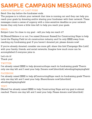#### ANNOUNCEMENT #3: LAST PUSH

Send: One day before the fundraiser ends.

The purpose is to inform your network that time is running out and they can help you reach your goals by donating and/or sharing your fundraiser with their network. These messages create a sense of urgency with a time-sensitive deadline so your network knows they only have a little time left to help you reach your goals.

#### EMAIL:

Subject Line: I'm close to my goal - will you help me reach it?

Hi [Name]! Believe it or not, I've raised [Amount Raised] for Constructing Hope to help Level the Playing Field int eh construction industry and I'm only [\$\$\$] away from reaching my fundraising goal. If you haven't donated yet, please donate now!

If you've already donated, consider one more gift: share this link [Campaign Site Link] with your family, friends, and social networks. Imagine how much more can be accomplished if everyone joins in.

Let's do it! Thank you!

#### TWITTER:

I've already raised [\$\$\$] to help @constructhope reach its fundraising goals! There's only one day left and I need your help. Donate now! [shortlink] #levelingtheplayingfield

#### FACEBOOK:

I've already raised [\$\$\$] to help @ConstructingHope reach its fundraising goals! There's only one day left and I need your help. Share/donate now! [shortlink] #levelingtheplayingfield

#### TEXT:

[Name] I've already raised [\$\$\$] to help Constructing Hope and my goal is almost reached. There's one day left and I need your help. Please donate now! [shortlink]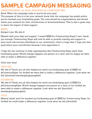#### ANNOUNCEMENT #4: GOAL REACHED OR CAMPAIGN END

Send: When the campaign ends or you've hit your goal.

The purpose of this is to let your network know that the campaign has ended and/or you've reached your fundraising goals. The tone should be congratulatory and should thank your network for their contributions of donations/shares. This is also a great way to share the impact of their support.

#### EMAIL:

Subject Line: We did it!

[Name], with your help and support, I raised [\$\$\$] for Constructing Hope! I can't thank you enough. Constructing Hope will now be able to provide training and support to even more low-income individuals in our community—that's a huge deal. I hope you feel good about your contribution because I sure appreciate it.

I hope we can continue to help organizations like Constructing Hope reach their fundraising goals. World change happens one person at a time, and I'm happy we were able to make a difference together.

#### Until next time!

#### TWITTER:

We did it! Thank you all who helped me reach my fundraising goal of [\$\$\$} for @ConstructHope. I'm thrilled we were able to make a difference together. Look what we did: [shortlink] #levelingtheplayingfield

#### FACEBOOK:

We did it! Thank you all who helped me reach my fundraising goal of [\$\$\$] for @ConstructingHope. World change happens one person at a time, so I'm thrilled we were able to make a difference together. Look what we did: [shortlink] #levelingtheplayingfield

#### TEXT:

[Name], thank you! I've reached my fundraising goal of [\$\$\$] for Constructing Hope. I'm thrilled we could make a difference together. Look what we did: [shortlink]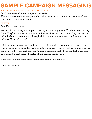#### ANNOUNCEMENT #5: THANK YOU LETTER

Send: One week after the campaign has ended.

The purpose is to thank everyone who helped support you in reaching your fundraising goals with a personal message.

#### LETTER:

Dear [Supporter Name],

We did it! Thanks to your support, I met my fundraising goal of [\$\$\$] for Constructing Hope. They're now one step closer to achieving their mission of rebuilding the lives of individuals in our community through skills training and education in the construction industry. How rad is that?

It felt so good to have my friends and family join me in raising money for such a great cause. Reaching this goal is a testament to the power of social fundraising and what we can achieve if we all work together toward a common goal. I hope you feel great about your contribution because I couldn't have done it without you.

Hope we can make some more fundraising magic in the future.

Until then, cheers!